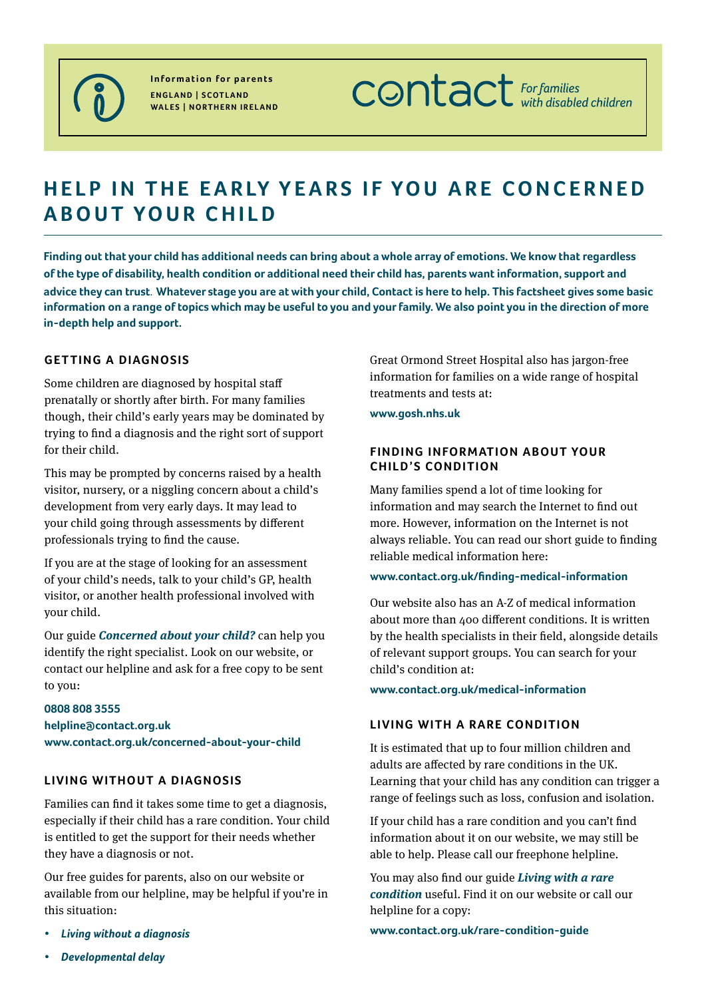

**Information for parents England | Scotland Wales | Northern Ireland** **CONTACT** For families

# **HELP IN THE EARLY YEARS IF YOU ARE CONCERNED about your child**

**Finding out that your child has additional needs can bring about a whole array of emotions. We know that regardless of the type of disability, health condition or additional need their child has, parents want information, support and advice they can trust**. **Whatever stage you are at with your child, Contact is here to help. This factsheet gives some basic information on a range of topics which may be useful to you and your family. We also point you in the direction of more in-depth help and support.**

## **getting a diagnosis**

Some children are diagnosed by hospital staff prenatally or shortly after birth. For many families though, their child's early years may be dominated by trying to find a diagnosis and the right sort of support for their child.

This may be prompted by concerns raised by a health visitor, nursery, or a niggling concern about a child's development from very early days. It may lead to your child going through assessments by different professionals trying to find the cause.

If you are at the stage of looking for an assessment of your child's needs, talk to your child's GP, health visitor, or another health professional involved with your child.

Our guide *Concerned about your child?* can help you identify the right specialist. Look on our website, or contact our helpline and ask for a free copy to be sent to you:

## **0808 808 3555 helpline@contact.org.uk [www.contact.org.uk/concerned-about-your-child](https://contact.org.uk/concerned-about-your-child)**

## **Living without a diagnosis**

Families can find it takes some time to get a diagnosis, especially if their child has a rare condition. Your child is entitled to get the support for their needs whether they have a diagnosis or not.

Our free guides for parents, also on our website or available from our helpline, may be helpful if you're in this situation:

*• Living without a diagnosis*

Great Ormond Street Hospital also has jargon-free information for families on a wide range of hospital treatments and tests at:

#### **[www.gosh.nhs.uk](http://www.gosh.nhs.uk/)**

## **FINDING INFORMATION ABOUT YOUR child's condition**

Many families spend a lot of time looking for information and may search the Internet to find out more. However, information on the Internet is not always reliable. You can read our short guide to finding reliable medical information here:

#### **[www.contact.org.uk/finding-medical-information](https://contact.org.uk/finding-medical-information)**

Our website also has an A-Z of medical information about more than 400 different conditions. It is written by the health specialists in their field, alongside details of relevant support groups. You can search for your child's condition at:

**[www.contact.org.uk/medical-information](https://contact.org.uk/medical-information)** 

## **Living with a rare condition**

It is estimated that up to four million children and adults are affected by rare conditions in the UK. Learning that your child has any condition can trigger a range of feelings such as loss, confusion and isolation.

If your child has a rare condition and you can't find information about it on our website, we may still be able to help. Please call our freephone helpline.

You may also find our guide *Living with a rare condition* useful. Find it on our website or call our helpline for a copy:

**[www.contact.org.uk/rare-condition-guide](http://www.contact.org.uk/rare-condition-guide)**

*• Developmental delay*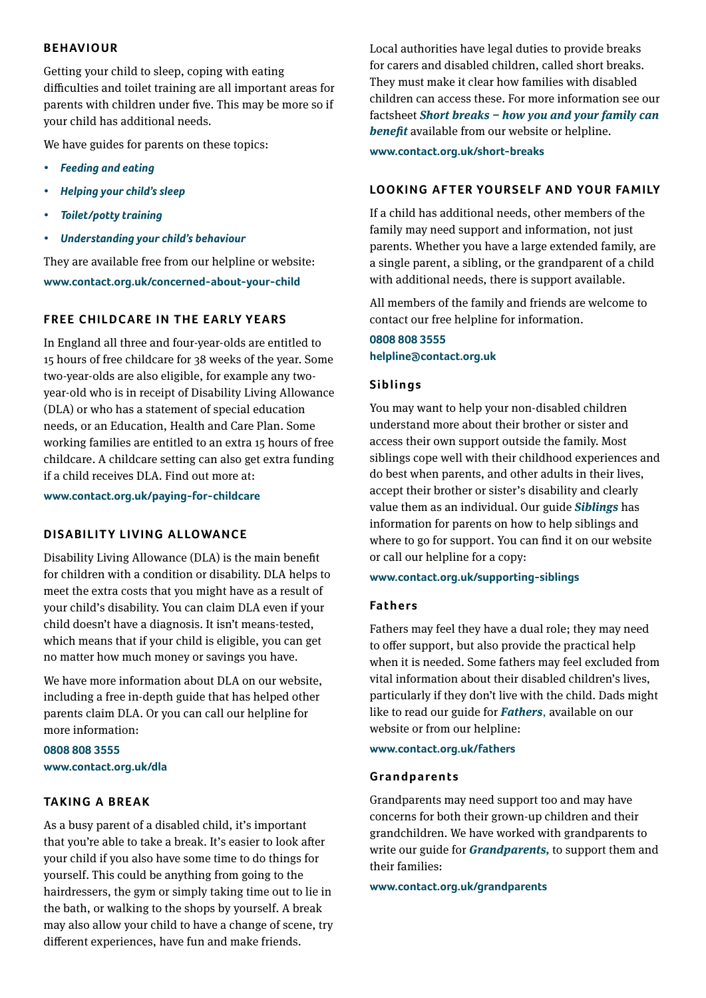## **Behaviour**

Getting your child to sleep, coping with eating difficulties and toilet training are all important areas for parents with children under five. This may be more so if your child has additional needs.

We have guides for parents on these topics:

- *Feeding* and eating
- *• Helping your child's sleep*
- *• Toilet/potty training*
- *• Understanding your child's behaviour*

They are available free from our helpline or website: **[www.contact.org.uk/concerned-about-your-child](https://contact.org.uk/concerned-about-your-child)**

## **FREE CHILDCARE IN THE EARLY YEARS**

In England all three and four-year-olds are entitled to 15 hours of free childcare for 38 weeks of the year. Some two-year-olds are also eligible, for example any twoyear-old who is in receipt of Disability Living Allowance (DLA) or who has a statement of special education needs, or an Education, Health and Care Plan. Some working families are entitled to an extra 15 hours of free childcare. A childcare setting can also get extra funding if a child receives DLA. Find out more at:

**www.contact.org.uk/paying-for-childcare**

## **DISABILITY LIVING ALLOWANCE**

Disability Living Allowance (DLA) is the main benefit for children with a condition or disability. DLA helps to meet the extra costs that you might have as a result of your child's disability. You can claim DLA even if your child doesn't have a diagnosis. It isn't means-tested, which means that if your child is eligible, you can get no matter how much money or savings you have.

We have more information about DLA on our website, including a free in-depth guide that has helped other parents claim DLA. Or you can call our helpline for more information:

**0808 808 3555 www.contact.org.uk/dla**

## **Taking a break**

As a busy parent of a disabled child, it's important that you're able to take a break. It's easier to look after your child if you also have some time to do things for yourself. This could be anything from going to the hairdressers, the gym or simply taking time out to lie in the bath, or walking to the shops by yourself. A break may also allow your child to have a change of scene, try different experiences, have fun and make friends.

Local authorities have legal duties to provide breaks for carers and disabled children, called short breaks. They must make it clear how families with disabled children can access these. For more information see our factsheet *Short breaks – how you and your family can benefit* available from our website or helpline. **[www.contact.org.uk/short-breaks](https://contact.org.uk/short-breaks)**

## **LOOKING AFTER YOURSELF AND YOUR FAMILY**

If a child has additional needs, other members of the family may need support and information, not just parents. Whether you have a large extended family, are a single parent, a sibling, or the grandparent of a child with additional needs, there is support available.

All members of the family and friends are welcome to contact our free helpline for information.

## **0808 808 3555 [helpline@contact.org.uk](mailto:helpline@contact.org.uk)**

## **Si b l i n g s**

You may want to help your non-disabled children understand more about their brother or sister and access their own support outside the family. Most siblings cope well with their childhood experiences and do best when parents, and other adults in their lives, accept their brother or sister's disability and clearly value them as an individual. Our guide *Siblings* has information for parents on how to help siblings and where to go for support. You can find it on our website or call our helpline for a copy:

#### **[www.contact.org.uk/supporting-sibling](https://contact.org.uk/supporting-siblings)s**

#### **Fathers**

Fathers may feel they have a dual role; they may need to offer support, but also provide the practical help when it is needed. Some fathers may feel excluded from vital information about their disabled children's lives, particularly if they don't live with the child. Dads might like to read our guide for *Fathers*, available on our website or from our helpline:

#### **[www.contact.org.uk/fathers](https://contact.org.uk/fathers)**

#### **Gr a n d p a re n t s**

Grandparents may need support too and may have concerns for both their grown-up children and their grandchildren. We have worked with grandparents to write our guide for *Grandparents,* to support them and their families:

**[www.contact.org.uk/grandparents](https://contact.org.uk/grandparents)**